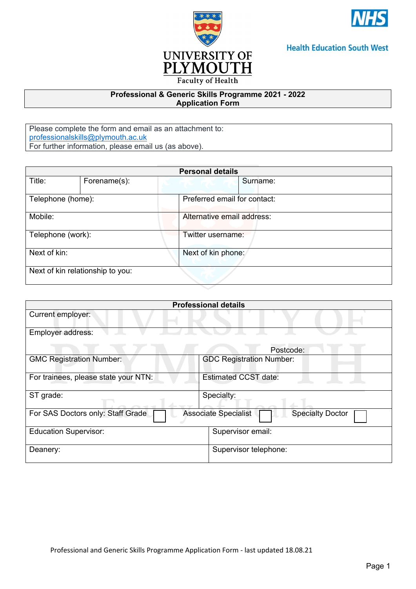



## **Health Education South West**

### **Professional & Generic Skills Programme 2021 - 2022 Application Form**

Please complete the form and email as an attachment to: [professionalskills@plymouth.ac.uk](mailto:professionalskills@plymouth.ac.uk) For further information, please email us (as above).

| <b>Personal details</b>          |              |                              |  |  |  |
|----------------------------------|--------------|------------------------------|--|--|--|
| Title:                           | Forename(s): | Surname:                     |  |  |  |
| Telephone (home):                |              | Preferred email for contact: |  |  |  |
| Mobile:                          |              | Alternative email address:   |  |  |  |
| Telephone (work):                |              | Twitter username:            |  |  |  |
| Next of kin:                     |              | Next of kin phone:           |  |  |  |
| Next of kin relationship to you: |              |                              |  |  |  |

| <b>Professional details</b>                                                                 |                                 |  |  |  |  |
|---------------------------------------------------------------------------------------------|---------------------------------|--|--|--|--|
| Current employer:                                                                           |                                 |  |  |  |  |
| Employer address:                                                                           |                                 |  |  |  |  |
|                                                                                             | Postcode:                       |  |  |  |  |
| <b>GMC Registration Number:</b>                                                             | <b>GDC Registration Number:</b> |  |  |  |  |
| For trainees, please state your NTN:                                                        | <b>Estimated CCST date:</b>     |  |  |  |  |
| ST grade:                                                                                   | Specialty:                      |  |  |  |  |
| For SAS Doctors only: Staff Grade<br><b>Associate Specialist</b><br><b>Specialty Doctor</b> |                                 |  |  |  |  |
| <b>Education Supervisor:</b>                                                                | Supervisor email:               |  |  |  |  |
| Deanery:                                                                                    | Supervisor telephone:           |  |  |  |  |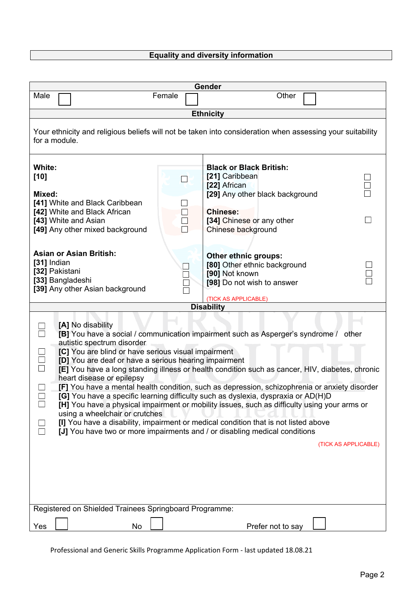# **Equality and diversity information**

| Gender                                                                                                                                                                                                                                                                                                                                                                                                                                                                                                                                                                                                                                                                                                                                                                                                                                                                                                       |                             |                                                                                                                                                                           |  |  |  |  |  |
|--------------------------------------------------------------------------------------------------------------------------------------------------------------------------------------------------------------------------------------------------------------------------------------------------------------------------------------------------------------------------------------------------------------------------------------------------------------------------------------------------------------------------------------------------------------------------------------------------------------------------------------------------------------------------------------------------------------------------------------------------------------------------------------------------------------------------------------------------------------------------------------------------------------|-----------------------------|---------------------------------------------------------------------------------------------------------------------------------------------------------------------------|--|--|--|--|--|
| Male                                                                                                                                                                                                                                                                                                                                                                                                                                                                                                                                                                                                                                                                                                                                                                                                                                                                                                         | Female                      | Other                                                                                                                                                                     |  |  |  |  |  |
| <b>Ethnicity</b>                                                                                                                                                                                                                                                                                                                                                                                                                                                                                                                                                                                                                                                                                                                                                                                                                                                                                             |                             |                                                                                                                                                                           |  |  |  |  |  |
| Your ethnicity and religious beliefs will not be taken into consideration when assessing your suitability<br>for a module.                                                                                                                                                                                                                                                                                                                                                                                                                                                                                                                                                                                                                                                                                                                                                                                   |                             |                                                                                                                                                                           |  |  |  |  |  |
| White:<br>$[10]$<br>Mixed:<br>[41] White and Black Caribbean<br>[42] White and Black African<br>[43] White and Asian<br>[49] Any other mixed background                                                                                                                                                                                                                                                                                                                                                                                                                                                                                                                                                                                                                                                                                                                                                      | $\mathcal{L}_{\mathcal{A}}$ | <b>Black or Black British:</b><br>[21] Caribbean<br>[22] African<br>[29] Any other black background<br><b>Chinese:</b><br>[34] Chinese or any other<br>Chinese background |  |  |  |  |  |
| <b>Asian or Asian British:</b><br>[31] Indian<br>[32] Pakistani<br>[33] Bangladeshi<br>[39] Any other Asian background                                                                                                                                                                                                                                                                                                                                                                                                                                                                                                                                                                                                                                                                                                                                                                                       |                             | Other ethnic groups:<br>[80] Other ethnic background<br>[90] Not known<br>[98] Do not wish to answer<br>(TICK AS APPLICABLE)                                              |  |  |  |  |  |
|                                                                                                                                                                                                                                                                                                                                                                                                                                                                                                                                                                                                                                                                                                                                                                                                                                                                                                              |                             | <b>Disability</b>                                                                                                                                                         |  |  |  |  |  |
| [A] No disability<br>[B] You have a social / communication impairment such as Asperger's syndrome / other<br>autistic spectrum disorder<br>[C] You are blind or have serious visual impairment<br>[D] You are deaf or have a serious hearing impairment<br>[E] You have a long standing illness or health condition such as cancer, HIV, diabetes, chronic<br>heart disease or epilepsy<br>[F] You have a mental health condition, such as depression, schizophrenia or anxiety disorder<br>[G] You have a specific learning difficulty such as dyslexia, dyspraxia or AD(H)D<br>[H] You have a physical impairment or mobility issues, such as difficulty using your arms or<br>using a wheelchair or crutches<br>[I] You have a disability, impairment or medical condition that is not listed above<br>[J] You have two or more impairments and / or disabling medical conditions<br>(TICK AS APPLICABLE) |                             |                                                                                                                                                                           |  |  |  |  |  |
|                                                                                                                                                                                                                                                                                                                                                                                                                                                                                                                                                                                                                                                                                                                                                                                                                                                                                                              |                             |                                                                                                                                                                           |  |  |  |  |  |
| Registered on Shielded Trainees Springboard Programme:                                                                                                                                                                                                                                                                                                                                                                                                                                                                                                                                                                                                                                                                                                                                                                                                                                                       |                             |                                                                                                                                                                           |  |  |  |  |  |
| No<br>Yes                                                                                                                                                                                                                                                                                                                                                                                                                                                                                                                                                                                                                                                                                                                                                                                                                                                                                                    |                             | Prefer not to say                                                                                                                                                         |  |  |  |  |  |

Professional and Generic Skills Programme Application Form - last updated 18.08.21